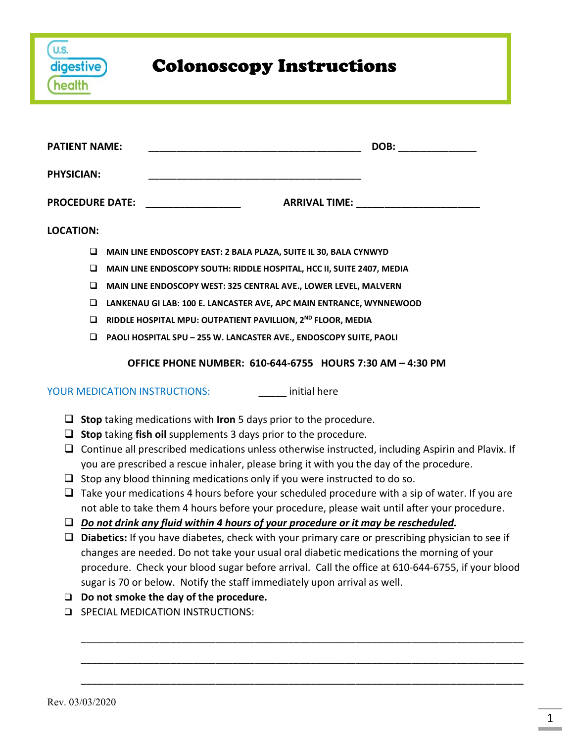| digestive) | <b>Colonoscopy Instructions</b> |
|------------|---------------------------------|
|            |                                 |

| <b>PATIENT NAME:</b>   | DOB:                                                                      |
|------------------------|---------------------------------------------------------------------------|
| <b>PHYSICIAN:</b>      |                                                                           |
| <b>PROCEDURE DATE:</b> | <b>ARRIVAL TIME:</b>                                                      |
| <b>LOCATION:</b>       |                                                                           |
| □                      | MAIN LINE ENDOSCOPY EAST: 2 BALA PLAZA, SUITE IL 30, BALA CYNWYD          |
| ⊔                      | MAIN LINE ENDOSCOPY SOUTH: RIDDLE HOSPITAL, HCC II, SUITE 2407, MEDIA     |
| ◻                      | <b>MAIN LINE ENDOSCOPY WEST: 325 CENTRAL AVE., LOWER LEVEL, MALVERN</b>   |
| ⊔                      | LANKENAU GI LAB: 100 E. LANCASTER AVE, APC MAIN ENTRANCE, WYNNEWOOD       |
| ⊔                      | RIDDLE HOSPITAL MPU: OUTPATIENT PAVILLION, 2 <sup>ND</sup> FLOOR, MEDIA   |
|                        | <b>PAOLI HOSPITAL SPU - 255 W. LANCASTER AVE., ENDOSCOPY SUITE, PAOLI</b> |

#### **OFFICE PHONE NUMBER: 610-644-6755 HOURS 7:30 AM – 4:30 PM**

YOUR MEDICATION INSTRUCTIONS: initial here

- **Stop** taking medications with **Iron** 5 days prior to the procedure.
- **Stop** taking **fish oil** supplements 3 days prior to the procedure.
- $\Box$  Continue all prescribed medications unless otherwise instructed, including Aspirin and Plavix. If you are prescribed a rescue inhaler, please bring it with you the day of the procedure.
- $\Box$  Stop any blood thinning medications only if you were instructed to do so.
- $\Box$  Take your medications 4 hours before your scheduled procedure with a sip of water. If you are not able to take them 4 hours before your procedure, please wait until after your procedure.
- *Do not drink any fluid within 4 hours of your procedure or it may be rescheduled.*
- **Diabetics:** If you have diabetes, check with your primary care or prescribing physician to see if changes are needed. Do not take your usual oral diabetic medications the morning of your procedure. Check your blood sugar before arrival. Call the office at 610-644-6755, if your blood sugar is 70 or below. Notify the staff immediately upon arrival as well.

\_\_\_\_\_\_\_\_\_\_\_\_\_\_\_\_\_\_\_\_\_\_\_\_\_\_\_\_\_\_\_\_\_\_\_\_\_\_\_\_\_\_\_\_\_\_\_\_\_\_\_\_\_\_\_\_\_\_\_\_\_\_\_\_\_\_\_\_\_\_\_\_\_\_\_\_\_\_\_

\_\_\_\_\_\_\_\_\_\_\_\_\_\_\_\_\_\_\_\_\_\_\_\_\_\_\_\_\_\_\_\_\_\_\_\_\_\_\_\_\_\_\_\_\_\_\_\_\_\_\_\_\_\_\_\_\_\_\_\_\_\_\_\_\_\_\_\_\_\_\_\_\_\_\_\_\_\_\_

\_\_\_\_\_\_\_\_\_\_\_\_\_\_\_\_\_\_\_\_\_\_\_\_\_\_\_\_\_\_\_\_\_\_\_\_\_\_\_\_\_\_\_\_\_\_\_\_\_\_\_\_\_\_\_\_\_\_\_\_\_\_\_\_\_\_\_\_\_\_\_\_\_\_\_\_\_\_\_

- **Do not smoke the day of the procedure.**
- **ED SPECIAL MEDICATION INSTRUCTIONS:**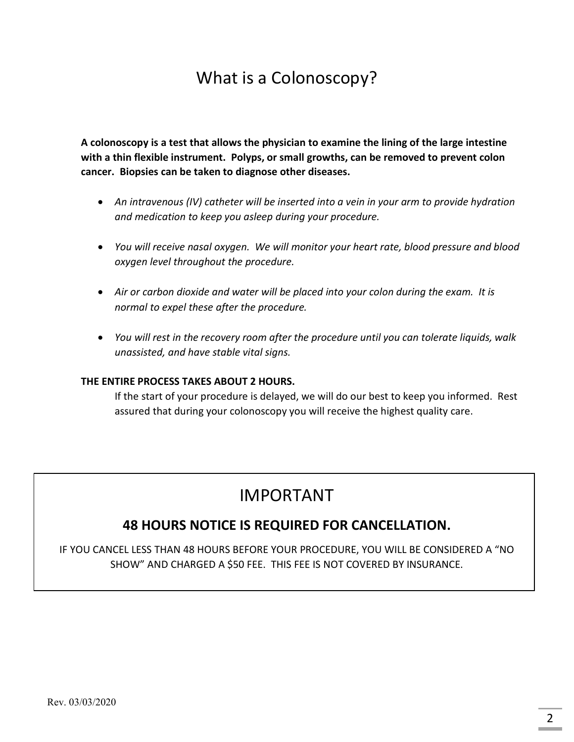# What is a Colonoscopy?

**A colonoscopy is a test that allows the physician to examine the lining of the large intestine with a thin flexible instrument. Polyps, or small growths, can be removed to prevent colon cancer. Biopsies can be taken to diagnose other diseases.**

- *An intravenous (IV) catheter will be inserted into a vein in your arm to provide hydration and medication to keep you asleep during your procedure.*
- *You will receive nasal oxygen. We will monitor your heart rate, blood pressure and blood oxygen level throughout the procedure.*
- *Air or carbon dioxide and water will be placed into your colon during the exam. It is normal to expel these after the procedure.*
- *You will rest in the recovery room after the procedure until you can tolerate liquids, walk unassisted, and have stable vital signs.*

#### **THE ENTIRE PROCESS TAKES ABOUT 2 HOURS.**

If the start of your procedure is delayed, we will do our best to keep you informed. Rest assured that during your colonoscopy you will receive the highest quality care.

## IMPORTANT

### **48 HOURS NOTICE IS REQUIRED FOR CANCELLATION.**

IF YOU CANCEL LESS THAN 48 HOURS BEFORE YOUR PROCEDURE, YOU WILL BE CONSIDERED A "NO SHOW" AND CHARGED A \$50 FEE. THIS FEE IS NOT COVERED BY INSURANCE.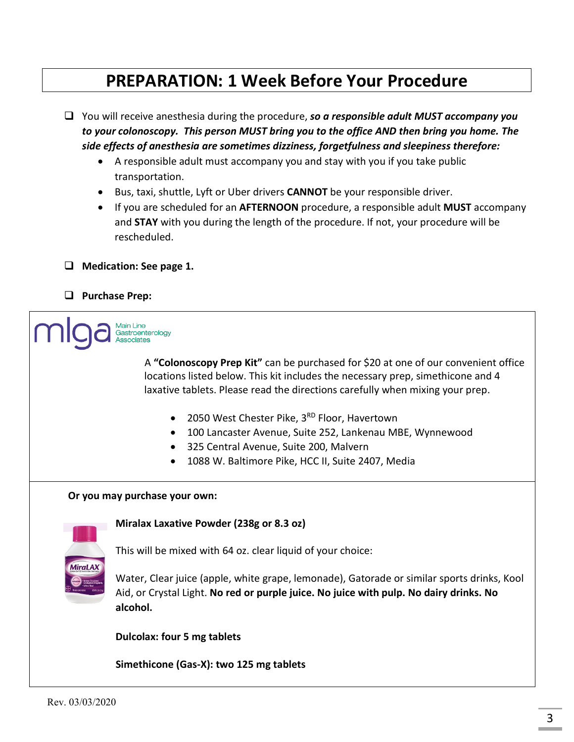## **PREPARATION: 1 Week Before Your Procedure**

 You will receive anesthesia during the procedure, *so a responsible adult MUST accompany you to your colonoscopy. This person MUST bring you to the office AND then bring you home. The side effects of anesthesia are sometimes dizziness, forgetfulness and sleepiness therefore:*

- A responsible adult must accompany you and stay with you if you take public transportation.
- Bus, taxi, shuttle, Lyft or Uber drivers **CANNOT** be your responsible driver.
- If you are scheduled for an **AFTERNOON** procedure, a responsible adult **MUST** accompany and **STAY** with you during the length of the procedure. If not, your procedure will be rescheduled.
- **Medication: See page 1.**
- **Purchase Prep:**

Gastroenterology

 A **"Colonoscopy Prep Kit"** can be purchased for \$20 at one of our convenient office locations listed below. This kit includes the necessary prep, simethicone and 4 laxative tablets. Please read the directions carefully when mixing your prep.

- 2050 West Chester Pike, 3<sup>RD</sup> Floor, Havertown
- 100 Lancaster Avenue, Suite 252, Lankenau MBE, Wynnewood
- 325 Central Avenue, Suite 200, Malvern
- 1088 W. Baltimore Pike, HCC II, Suite 2407, Media

#### **Or you may purchase your own:**



**Miralax Laxative Powder (238g or 8.3 oz)** 

This will be mixed with 64 oz. clear liquid of your choice:

Water, Clear juice (apple, white grape, lemonade), Gatorade or similar sports drinks, Kool Aid, or Crystal Light. **No red or purple juice. No juice with pulp. No dairy drinks. No alcohol.**

 **Dulcolax: four 5 mg tablets**

 **Simethicone (Gas-X): two 125 mg tablets**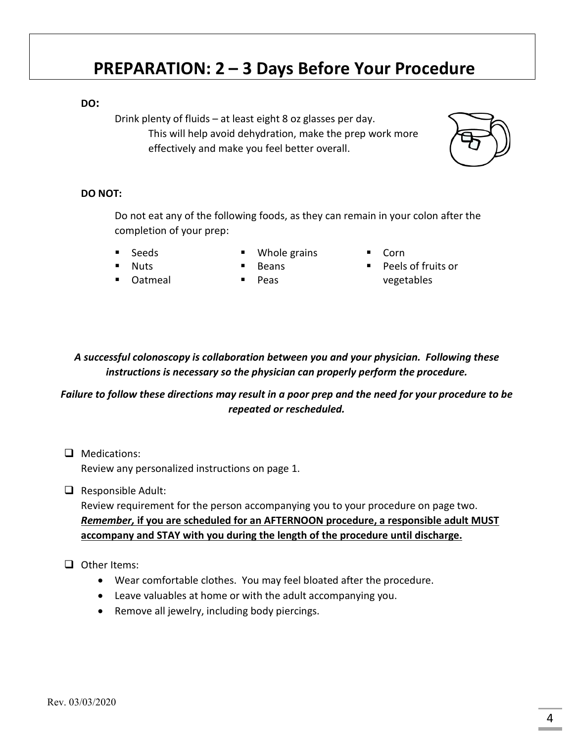## **PREPARATION: 2 – 3 Days Before Your Procedure**

#### **DO:**

Drink plenty of fluids – at least eight 8 oz glasses per day. This will help avoid dehydration, make the prep work more effectively and make you feel better overall.

#### **DO NOT:**

Do not eat any of the following foods, as they can remain in your colon after the completion of your prep:

Seeds

- Whole grains Beans
- Corn
- Nuts Oatmeal
- Peas

 Peels of fruits or vegetables

*A successful colonoscopy is collaboration between you and your physician. Following these instructions is necessary so the physician can properly perform the procedure.* 

#### *Failure to follow these directions may result in a poor prep and the need for your procedure to be repeated or rescheduled.*

- **Q** Medications: Review any personalized instructions on page 1.
- $\Box$  Responsible Adult:

Review requirement for the person accompanying you to your procedure on page two. *Remember,* **if you are scheduled for an AFTERNOON procedure, a responsible adult MUST accompany and STAY with you during the length of the procedure until discharge.**

#### $\Box$  Other Items:

- Wear comfortable clothes. You may feel bloated after the procedure.
- Leave valuables at home or with the adult accompanying you.
- Remove all jewelry, including body piercings.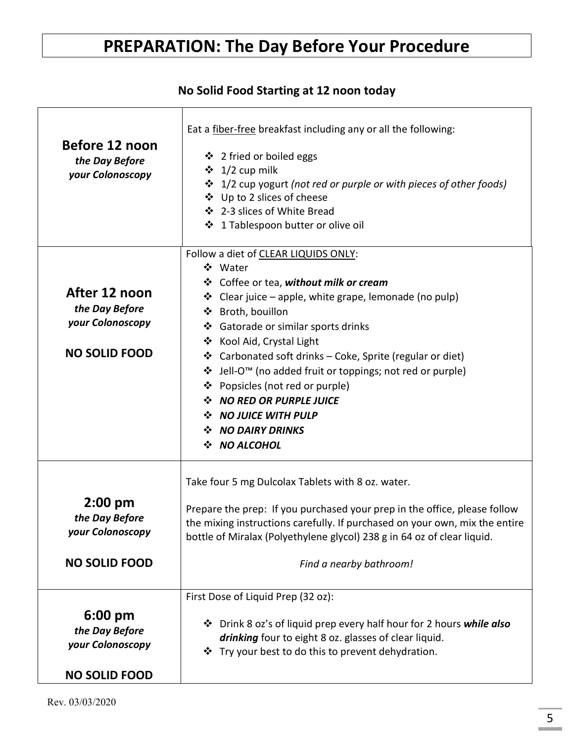# **PREPARATION: The Day Before Your Procedure**

## **No Solid Food Starting at 12 noon today**

| Before 12 noon<br>the Day Before<br>your Colonoscopy                            | Eat a fiber-free breakfast including any or all the following:<br>❖ 2 fried or boiled eggs<br>$\div$ 1/2 cup milk<br>❖ 1/2 cup yogurt (not red or purple or with pieces of other foods)<br>❖ Up to 2 slices of cheese<br>❖ 2-3 slices of White Bread<br>❖ 1 Tablespoon butter or olive oil                                                                                                                                                                                                                   |  |
|---------------------------------------------------------------------------------|--------------------------------------------------------------------------------------------------------------------------------------------------------------------------------------------------------------------------------------------------------------------------------------------------------------------------------------------------------------------------------------------------------------------------------------------------------------------------------------------------------------|--|
| After 12 noon<br>the Day Before<br>your Colonoscopy<br><b>NO SOLID FOOD</b>     | Follow a diet of CLEAR LIQUIDS ONLY:<br>❖ Water<br>❖ Coffee or tea, without milk or cream<br>❖ Clear juice – apple, white grape, lemonade (no pulp)<br>❖ Broth, bouillon<br>❖ Gatorade or similar sports drinks<br>❖ Kool Aid, Crystal Light<br>❖ Carbonated soft drinks – Coke, Sprite (regular or diet)<br>❖ Jell-O <sup>™</sup> (no added fruit or toppings; not red or purple)<br>❖ Popsicles (not red or purple)<br>❖ NO RED OR PURPLE JUICE<br>NO JUICE WITH PULP<br>❖ NO DAIRY DRINKS<br>❖ NO ALCOHOL |  |
| $2:00$ pm<br>the Day Before<br>your Colonoscopy<br><b>NO SOLID FOOD</b>         | Take four 5 mg Dulcolax Tablets with 8 oz. water.<br>Prepare the prep: If you purchased your prep in the office, please follow<br>the mixing instructions carefully. If purchased on your own, mix the entire<br>bottle of Miralax (Polyethylene glycol) 238 g in 64 oz of clear liquid.<br>Find a nearby bathroom!                                                                                                                                                                                          |  |
| $6:00 \text{ pm}$<br>the Day Before<br>your Colonoscopy<br><b>NO SOLID FOOD</b> | First Dose of Liquid Prep (32 oz):<br>❖ Drink 8 oz's of liquid prep every half hour for 2 hours while also<br>drinking four to eight 8 oz. glasses of clear liquid.<br>❖ Try your best to do this to prevent dehydration.                                                                                                                                                                                                                                                                                    |  |